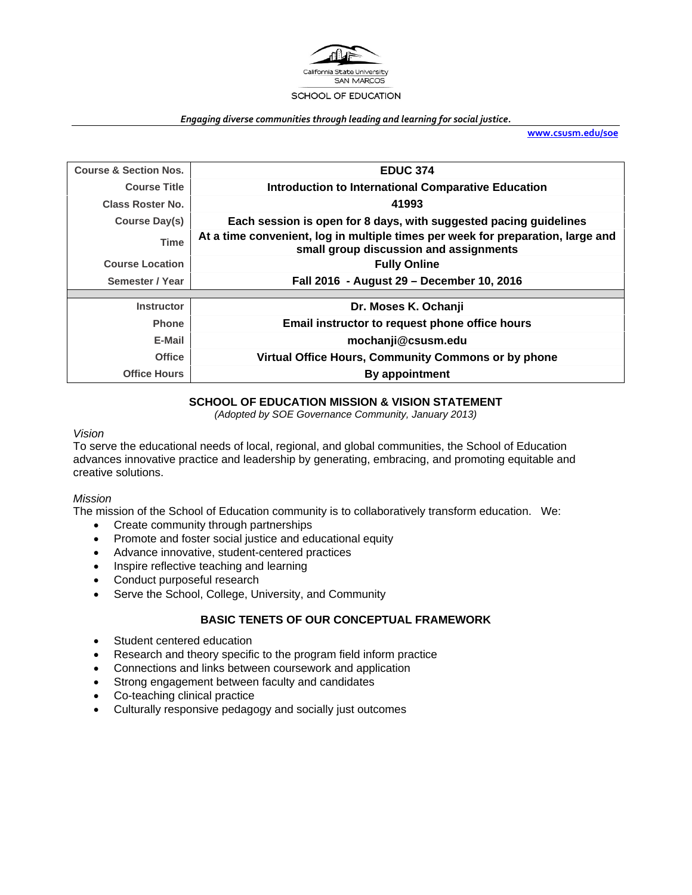

#### *Engaging diverse communities through leading and learning for social justice.*

**www.csusm.edu/soe**

| <b>Course &amp; Section Nos.</b> | <b>EDUC 374</b>                                                                                                           |
|----------------------------------|---------------------------------------------------------------------------------------------------------------------------|
| <b>Course Title</b>              | <b>Introduction to International Comparative Education</b>                                                                |
| <b>Class Roster No.</b>          | 41993                                                                                                                     |
| Course Day(s)                    | Each session is open for 8 days, with suggested pacing guidelines                                                         |
| <b>Time</b>                      | At a time convenient, log in multiple times per week for preparation, large and<br>small group discussion and assignments |
| <b>Course Location</b>           | <b>Fully Online</b>                                                                                                       |
| Semester / Year                  | Fall 2016 - August 29 - December 10, 2016                                                                                 |
|                                  |                                                                                                                           |
| <b>Instructor</b>                | Dr. Moses K. Ochanji                                                                                                      |
| <b>Phone</b>                     | Email instructor to request phone office hours                                                                            |
| E-Mail                           | mochanji@csusm.edu                                                                                                        |
| <b>Office</b>                    | Virtual Office Hours, Community Commons or by phone                                                                       |
| <b>Office Hours</b>              | By appointment                                                                                                            |

## **SCHOOL OF EDUCATION MISSION & VISION STATEMENT**

*(Adopted by SOE Governance Community, January 2013)* 

#### *Vision*

To serve the educational needs of local, regional, and global communities, the School of Education advances innovative practice and leadership by generating, embracing, and promoting equitable and creative solutions.

#### *Mission*

The mission of the School of Education community is to collaboratively transform education. We:

- Create community through partnerships
- Promote and foster social justice and educational equity
- Advance innovative, student-centered practices
- Inspire reflective teaching and learning
- Conduct purposeful research
- Serve the School, College, University, and Community

## **BASIC TENETS OF OUR CONCEPTUAL FRAMEWORK**

- Student centered education
- Research and theory specific to the program field inform practice
- Connections and links between coursework and application
- Strong engagement between faculty and candidates
- Co-teaching clinical practice
- Culturally responsive pedagogy and socially just outcomes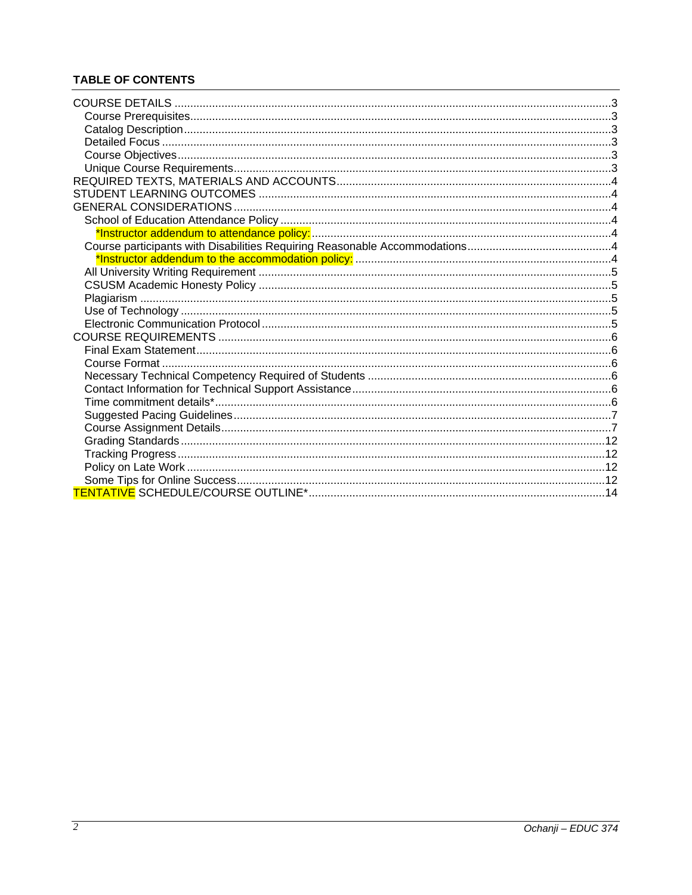# **TABLE OF CONTENTS**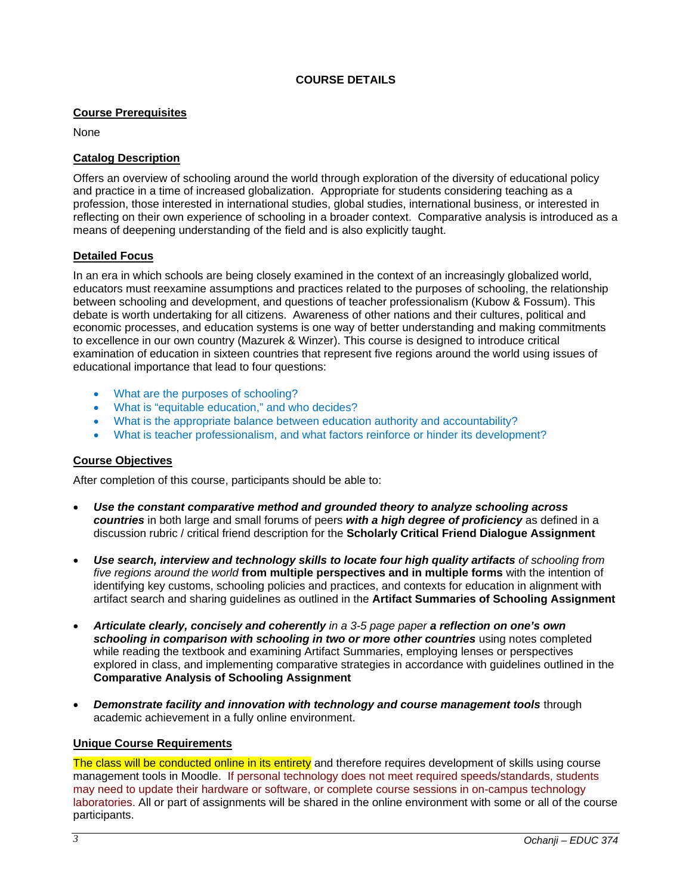### **COURSE DETAILS**

### **Course Prerequisites**

None

## **Catalog Description**

Offers an overview of schooling around the world through exploration of the diversity of educational policy and practice in a time of increased globalization. Appropriate for students considering teaching as a profession, those interested in international studies, global studies, international business, or interested in reflecting on their own experience of schooling in a broader context. Comparative analysis is introduced as a means of deepening understanding of the field and is also explicitly taught.

### **Detailed Focus**

In an era in which schools are being closely examined in the context of an increasingly globalized world, educators must reexamine assumptions and practices related to the purposes of schooling, the relationship between schooling and development, and questions of teacher professionalism (Kubow & Fossum). This debate is worth undertaking for all citizens. Awareness of other nations and their cultures, political and economic processes, and education systems is one way of better understanding and making commitments to excellence in our own country (Mazurek & Winzer). This course is designed to introduce critical examination of education in sixteen countries that represent five regions around the world using issues of educational importance that lead to four questions:

- What are the purposes of schooling?
- What is "equitable education," and who decides?
- What is the appropriate balance between education authority and accountability?
- What is teacher professionalism, and what factors reinforce or hinder its development?

## **Course Objectives**

After completion of this course, participants should be able to:

- *Use the constant comparative method and grounded theory to analyze schooling across countries* in both large and small forums of peers *with a high degree of proficiency* as defined in a discussion rubric / critical friend description for the **Scholarly Critical Friend Dialogue Assignment**
- *Use search, interview and technology skills to locate four high quality artifacts of schooling from five regions around the world* **from multiple perspectives and in multiple forms** with the intention of identifying key customs, schooling policies and practices, and contexts for education in alignment with artifact search and sharing guidelines as outlined in the **Artifact Summaries of Schooling Assignment**
- *Articulate clearly, concisely and coherently in a 3-5 page paper a reflection on one's own schooling in comparison with schooling in two or more other countries* using notes completed while reading the textbook and examining Artifact Summaries, employing lenses or perspectives explored in class, and implementing comparative strategies in accordance with guidelines outlined in the **Comparative Analysis of Schooling Assignment**
- *Demonstrate facility and innovation with technology and course management tools* through academic achievement in a fully online environment.

#### **Unique Course Requirements**

The class will be conducted online in its entirety and therefore requires development of skills using course management tools in Moodle. If personal technology does not meet required speeds/standards, students may need to update their hardware or software, or complete course sessions in on-campus technology laboratories. All or part of assignments will be shared in the online environment with some or all of the course participants.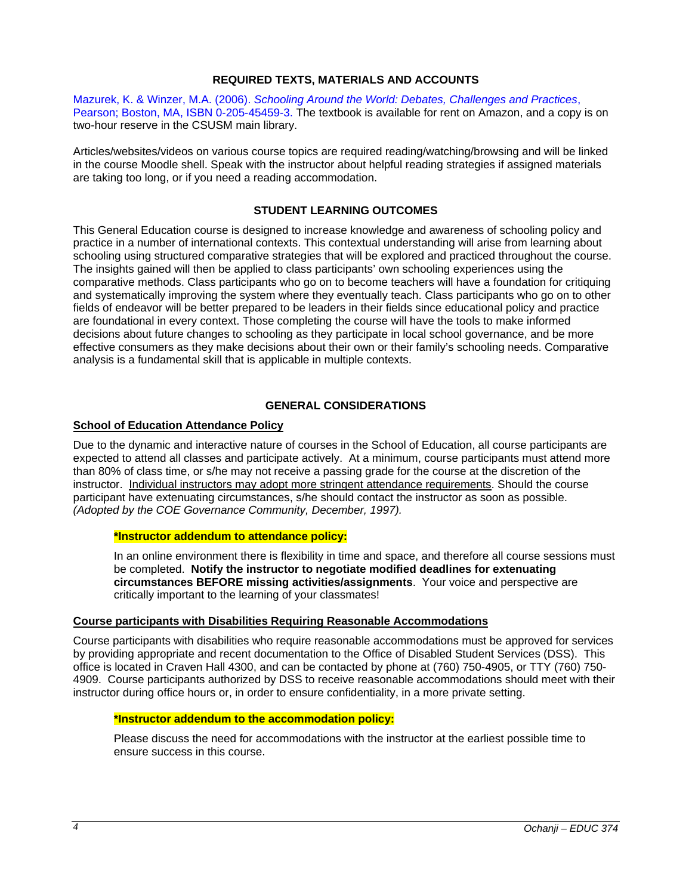## **REQUIRED TEXTS, MATERIALS AND ACCOUNTS**

Mazurek, K. & Winzer, M.A. (2006). *Schooling Around the World: Debates, Challenges and Practices*, Pearson; Boston, MA, ISBN 0-205-45459-3. The textbook is available for rent on Amazon, and a copy is on two-hour reserve in the CSUSM main library.

Articles/websites/videos on various course topics are required reading/watching/browsing and will be linked in the course Moodle shell. Speak with the instructor about helpful reading strategies if assigned materials are taking too long, or if you need a reading accommodation.

## **STUDENT LEARNING OUTCOMES**

This General Education course is designed to increase knowledge and awareness of schooling policy and practice in a number of international contexts. This contextual understanding will arise from learning about schooling using structured comparative strategies that will be explored and practiced throughout the course. The insights gained will then be applied to class participants' own schooling experiences using the comparative methods. Class participants who go on to become teachers will have a foundation for critiquing and systematically improving the system where they eventually teach. Class participants who go on to other fields of endeavor will be better prepared to be leaders in their fields since educational policy and practice are foundational in every context. Those completing the course will have the tools to make informed decisions about future changes to schooling as they participate in local school governance, and be more effective consumers as they make decisions about their own or their family's schooling needs. Comparative analysis is a fundamental skill that is applicable in multiple contexts.

### **GENERAL CONSIDERATIONS**

### **School of Education Attendance Policy**

Due to the dynamic and interactive nature of courses in the School of Education, all course participants are expected to attend all classes and participate actively. At a minimum, course participants must attend more than 80% of class time, or s/he may not receive a passing grade for the course at the discretion of the instructor. Individual instructors may adopt more stringent attendance requirements. Should the course participant have extenuating circumstances, s/he should contact the instructor as soon as possible. *(Adopted by the COE Governance Community, December, 1997).*

#### **\*Instructor addendum to attendance policy:**

In an online environment there is flexibility in time and space, and therefore all course sessions must be completed. **Notify the instructor to negotiate modified deadlines for extenuating circumstances BEFORE missing activities/assignments**. Your voice and perspective are critically important to the learning of your classmates!

#### **Course participants with Disabilities Requiring Reasonable Accommodations**

Course participants with disabilities who require reasonable accommodations must be approved for services by providing appropriate and recent documentation to the Office of Disabled Student Services (DSS). This office is located in Craven Hall 4300, and can be contacted by phone at (760) 750-4905, or TTY (760) 750- 4909. Course participants authorized by DSS to receive reasonable accommodations should meet with their instructor during office hours or, in order to ensure confidentiality, in a more private setting.

#### **\*Instructor addendum to the accommodation policy:**

Please discuss the need for accommodations with the instructor at the earliest possible time to ensure success in this course.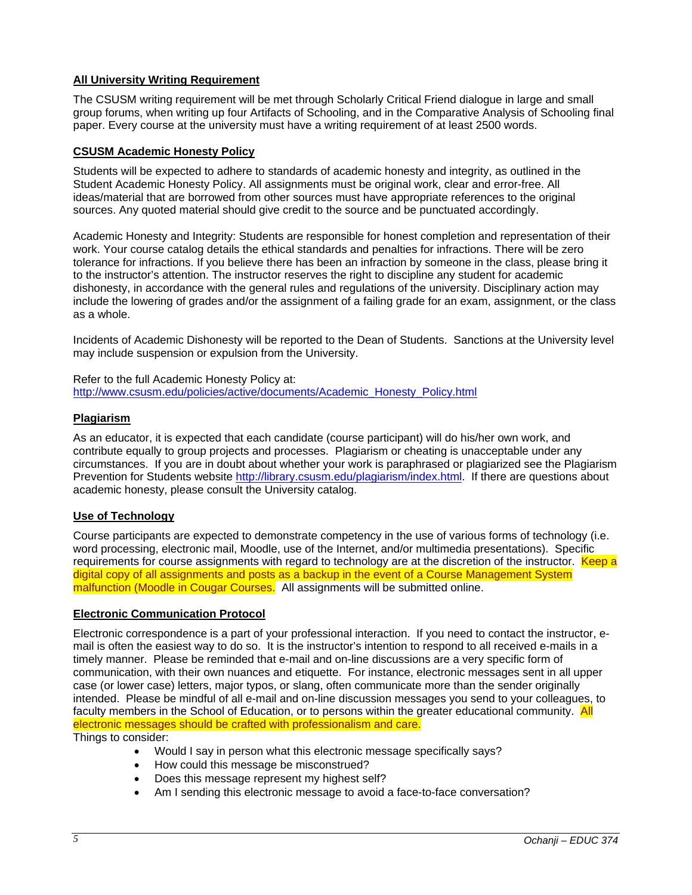# **All University Writing Requirement**

The CSUSM writing requirement will be met through Scholarly Critical Friend dialogue in large and small group forums, when writing up four Artifacts of Schooling, and in the Comparative Analysis of Schooling final paper. Every course at the university must have a writing requirement of at least 2500 words.

### **CSUSM Academic Honesty Policy**

Students will be expected to adhere to standards of academic honesty and integrity, as outlined in the Student Academic Honesty Policy. All assignments must be original work, clear and error-free. All ideas/material that are borrowed from other sources must have appropriate references to the original sources. Any quoted material should give credit to the source and be punctuated accordingly.

Academic Honesty and Integrity: Students are responsible for honest completion and representation of their work. Your course catalog details the ethical standards and penalties for infractions. There will be zero tolerance for infractions. If you believe there has been an infraction by someone in the class, please bring it to the instructor's attention. The instructor reserves the right to discipline any student for academic dishonesty, in accordance with the general rules and regulations of the university. Disciplinary action may include the lowering of grades and/or the assignment of a failing grade for an exam, assignment, or the class as a whole.

Incidents of Academic Dishonesty will be reported to the Dean of Students. Sanctions at the University level may include suspension or expulsion from the University.

Refer to the full Academic Honesty Policy at: http://www.csusm.edu/policies/active/documents/Academic\_Honesty\_Policy.html

## **Plagiarism**

As an educator, it is expected that each candidate (course participant) will do his/her own work, and contribute equally to group projects and processes. Plagiarism or cheating is unacceptable under any circumstances. If you are in doubt about whether your work is paraphrased or plagiarized see the Plagiarism Prevention for Students website http://library.csusm.edu/plagiarism/index.html. If there are questions about academic honesty, please consult the University catalog.

## **Use of Technology**

Course participants are expected to demonstrate competency in the use of various forms of technology (i.e. word processing, electronic mail, Moodle, use of the Internet, and/or multimedia presentations). Specific requirements for course assignments with regard to technology are at the discretion of the instructor. Keep a digital copy of all assignments and posts as a backup in the event of a Course Management System malfunction (Moodle in Cougar Courses. All assignments will be submitted online.

#### **Electronic Communication Protocol**

Electronic correspondence is a part of your professional interaction. If you need to contact the instructor, email is often the easiest way to do so. It is the instructor's intention to respond to all received e-mails in a timely manner. Please be reminded that e-mail and on-line discussions are a very specific form of communication, with their own nuances and etiquette. For instance, electronic messages sent in all upper case (or lower case) letters, major typos, or slang, often communicate more than the sender originally intended. Please be mindful of all e-mail and on-line discussion messages you send to your colleagues, to faculty members in the School of Education, or to persons within the greater educational community. All electronic messages should be crafted with professionalism and care.

Things to consider:

- Would I say in person what this electronic message specifically says?
- How could this message be misconstrued?
- Does this message represent my highest self?
- Am I sending this electronic message to avoid a face-to-face conversation?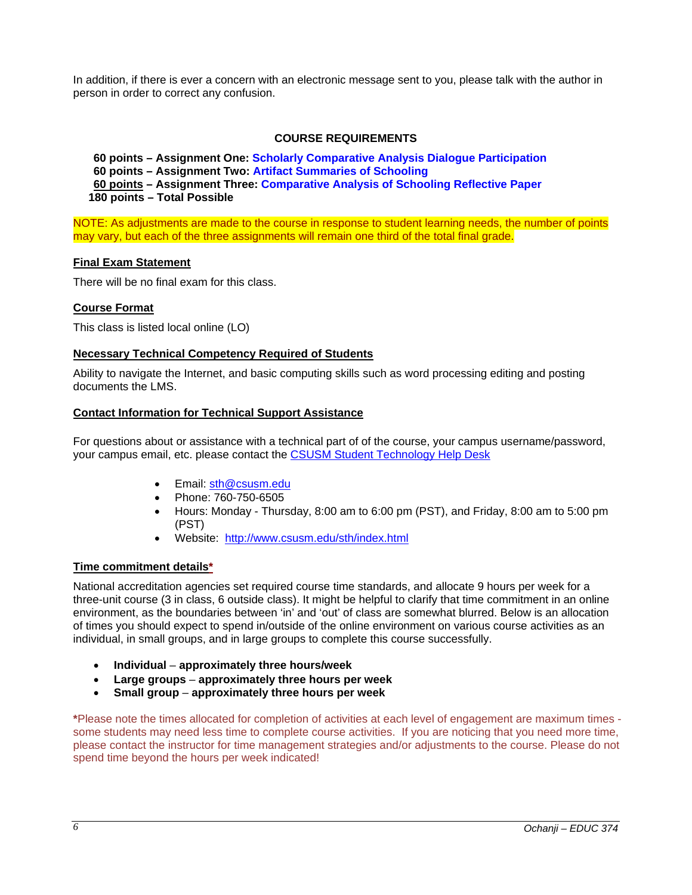In addition, if there is ever a concern with an electronic message sent to you, please talk with the author in person in order to correct any confusion.

### **COURSE REQUIREMENTS**

**60 points – Assignment One: Scholarly Comparative Analysis Dialogue Participation 60 points – Assignment Two: Artifact Summaries of Schooling 60 points – Assignment Three: Comparative Analysis of Schooling Reflective Paper 180 points – Total Possible** 

NOTE: As adjustments are made to the course in response to student learning needs, the number of points may vary, but each of the three assignments will remain one third of the total final grade.

#### **Final Exam Statement**

There will be no final exam for this class.

#### **Course Format**

This class is listed local online (LO)

### **Necessary Technical Competency Required of Students**

Ability to navigate the Internet, and basic computing skills such as word processing editing and posting documents the LMS.

#### **Contact Information for Technical Support Assistance**

For questions about or assistance with a technical part of of the course, your campus username/password, your campus email, etc. please contact the CSUSM Student Technology Help Desk

- Email: sth@csusm.edu
- Phone: 760-750-6505
- Hours: Monday Thursday, 8:00 am to 6:00 pm (PST), and Friday, 8:00 am to 5:00 pm (PST)
- Website: http://www.csusm.edu/sth/index.html

#### **Time commitment details\***

National accreditation agencies set required course time standards, and allocate 9 hours per week for a three-unit course (3 in class, 6 outside class). It might be helpful to clarify that time commitment in an online environment, as the boundaries between 'in' and 'out' of class are somewhat blurred. Below is an allocation of times you should expect to spend in/outside of the online environment on various course activities as an individual, in small groups, and in large groups to complete this course successfully.

- **Individual** – **approximately three hours/week**
- **Large groups approximately three hours per week**
- **Small group approximately three hours per week**

**\***Please note the times allocated for completion of activities at each level of engagement are maximum times some students may need less time to complete course activities. If you are noticing that you need more time, please contact the instructor for time management strategies and/or adjustments to the course. Please do not spend time beyond the hours per week indicated!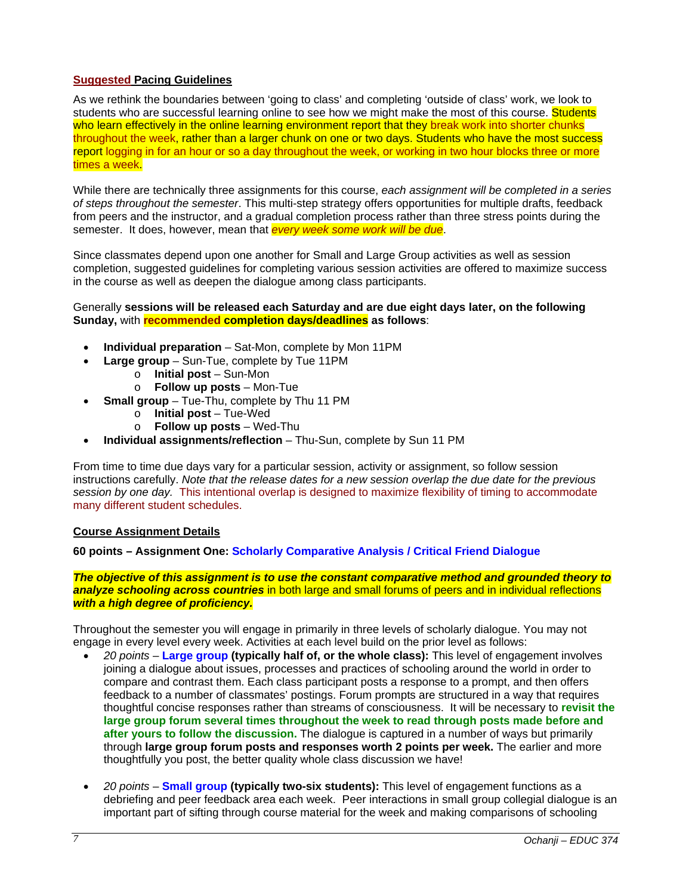## **Suggested Pacing Guidelines**

As we rethink the boundaries between 'going to class' and completing 'outside of class' work, we look to students who are successful learning online to see how we might make the most of this course. Students who learn effectively in the online learning environment report that they break work into shorter chunks throughout the week, rather than a larger chunk on one or two days. Students who have the most success report logging in for an hour or so a day throughout the week, or working in two hour blocks three or more times a week.

While there are technically three assignments for this course, *each assignment will be completed in a series of steps throughout the semester*. This multi-step strategy offers opportunities for multiple drafts, feedback from peers and the instructor, and a gradual completion process rather than three stress points during the semester. It does, however, mean that *every week some work will be due*.

Since classmates depend upon one another for Small and Large Group activities as well as session completion, suggested guidelines for completing various session activities are offered to maximize success in the course as well as deepen the dialogue among class participants.

### Generally **sessions will be released each Saturday and are due eight days later, on the following Sunday,** with **recommended completion days/deadlines as follows**:

- **Individual preparation** Sat-Mon, complete by Mon 11PM
- **Large group**  Sun-Tue, complete by Tue 11PM
	- o **Initial post** Sun-Mon
	- o **Follow up posts** Mon-Tue
- **Small group** Tue-Thu, complete by Thu 11 PM
	- o **Initial post**  Tue-Wed
	- o **Follow up posts**  Wed-Thu
- **Individual assignments/reflection** Thu-Sun, complete by Sun 11 PM

From time to time due days vary for a particular session, activity or assignment, so follow session instructions carefully. *Note that the release dates for a new session overlap the due date for the previous session by one day.* This intentional overlap is designed to maximize flexibility of timing to accommodate many different student schedules.

## **Course Assignment Details**

## **60 points – Assignment One: Scholarly Comparative Analysis / Critical Friend Dialogue**

*The objective of this assignment is to use the constant comparative method and grounded theory to analyze schooling across countries* in both large and small forums of peers and in individual reflections *with a high degree of proficiency.* 

Throughout the semester you will engage in primarily in three levels of scholarly dialogue. You may not engage in every level every week. Activities at each level build on the prior level as follows:

- *20 points* **Large group (typically half of, or the whole class):** This level of engagement involves joining a dialogue about issues, processes and practices of schooling around the world in order to compare and contrast them. Each class participant posts a response to a prompt, and then offers feedback to a number of classmates' postings. Forum prompts are structured in a way that requires thoughtful concise responses rather than streams of consciousness. It will be necessary to **revisit the large group forum several times throughout the week to read through posts made before and after yours to follow the discussion.** The dialogue is captured in a number of ways but primarily through **large group forum posts and responses worth 2 points per week.** The earlier and more thoughtfully you post, the better quality whole class discussion we have!
- *20 points* **Small group (typically two-six students):** This level of engagement functions as a debriefing and peer feedback area each week. Peer interactions in small group collegial dialogue is an important part of sifting through course material for the week and making comparisons of schooling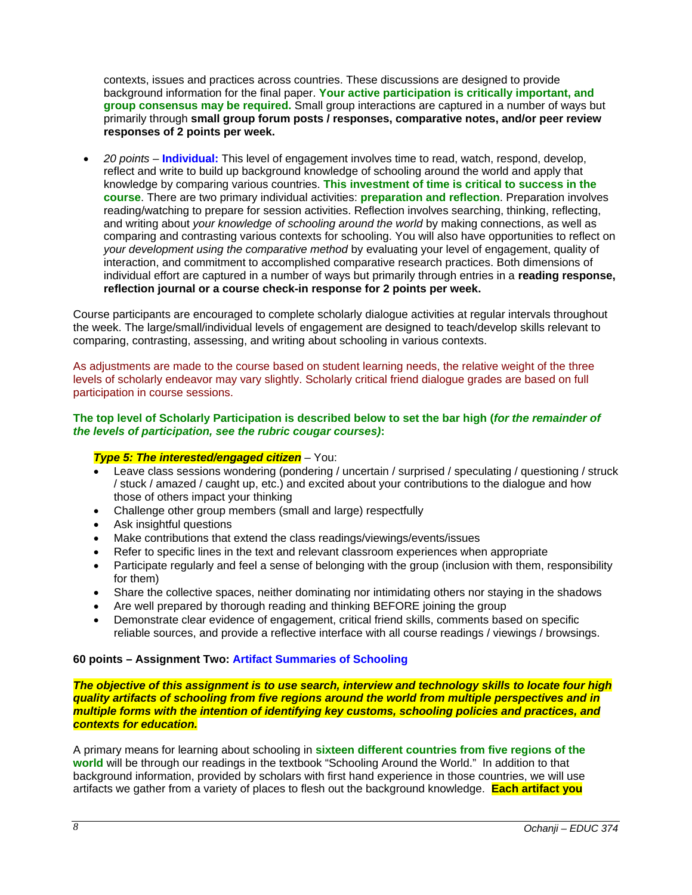contexts, issues and practices across countries. These discussions are designed to provide background information for the final paper. **Your active participation is critically important, and group consensus may be required.** Small group interactions are captured in a number of ways but primarily through **small group forum posts / responses, comparative notes, and/or peer review responses of 2 points per week.** 

 *20 points* – **Individual:** This level of engagement involves time to read, watch, respond, develop, reflect and write to build up background knowledge of schooling around the world and apply that knowledge by comparing various countries. **This investment of time is critical to success in the course**. There are two primary individual activities: **preparation and reflection**. Preparation involves reading/watching to prepare for session activities. Reflection involves searching, thinking, reflecting, and writing about *your knowledge of schooling around the world* by making connections, as well as comparing and contrasting various contexts for schooling. You will also have opportunities to reflect on *your development using the comparative method* by evaluating your level of engagement, quality of interaction, and commitment to accomplished comparative research practices. Both dimensions of individual effort are captured in a number of ways but primarily through entries in a **reading response, reflection journal or a course check-in response for 2 points per week.** 

Course participants are encouraged to complete scholarly dialogue activities at regular intervals throughout the week. The large/small/individual levels of engagement are designed to teach/develop skills relevant to comparing, contrasting, assessing, and writing about schooling in various contexts.

As adjustments are made to the course based on student learning needs, the relative weight of the three levels of scholarly endeavor may vary slightly. Scholarly critical friend dialogue grades are based on full participation in course sessions.

### **The top level of Scholarly Participation is described below to set the bar high (***for the remainder of the levels of participation, see the rubric cougar courses)***:**

## *Type 5: The interested/engaged citizen* – You:

- Leave class sessions wondering (pondering / uncertain / surprised / speculating / questioning / struck / stuck / amazed / caught up, etc.) and excited about your contributions to the dialogue and how those of others impact your thinking
- Challenge other group members (small and large) respectfully
- Ask insightful questions
- Make contributions that extend the class readings/viewings/events/issues
- Refer to specific lines in the text and relevant classroom experiences when appropriate
- Participate regularly and feel a sense of belonging with the group (inclusion with them, responsibility for them)
- Share the collective spaces, neither dominating nor intimidating others nor staying in the shadows
- Are well prepared by thorough reading and thinking BEFORE joining the group
- Demonstrate clear evidence of engagement, critical friend skills, comments based on specific reliable sources, and provide a reflective interface with all course readings / viewings / browsings.

## **60 points – Assignment Two: Artifact Summaries of Schooling**

*The objective of this assignment is to use search, interview and technology skills to locate four high quality artifacts of schooling from five regions around the world from multiple perspectives and in multiple forms with the intention of identifying key customs, schooling policies and practices, and contexts for education.* 

A primary means for learning about schooling in **sixteen different countries from five regions of the world** will be through our readings in the textbook "Schooling Around the World." In addition to that background information, provided by scholars with first hand experience in those countries, we will use artifacts we gather from a variety of places to flesh out the background knowledge. **Each artifact you**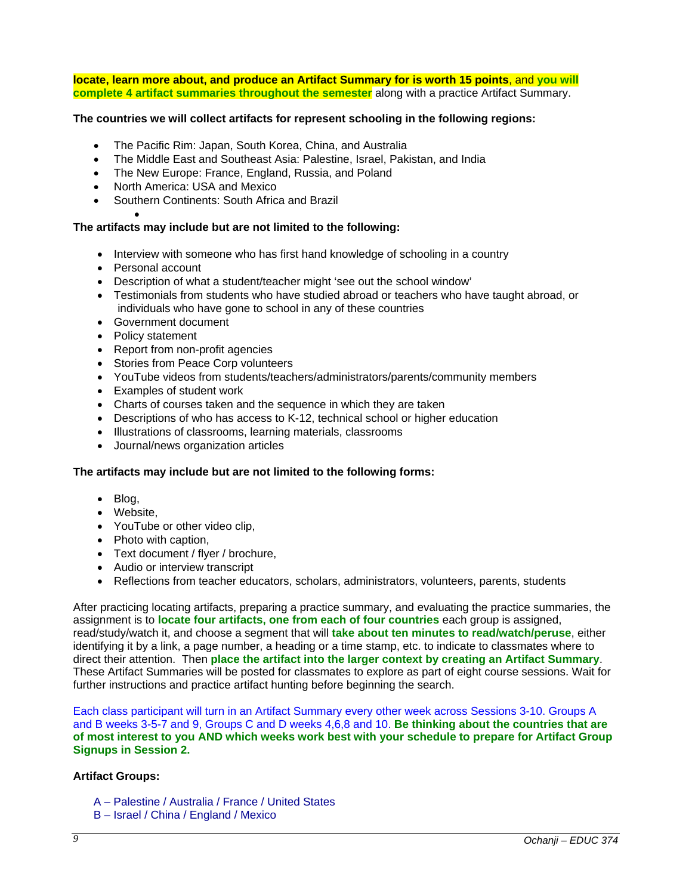**locate, learn more about, and produce an Artifact Summary for is worth 15 points**, and **you will complete 4 artifact summaries throughout the semester** along with a practice Artifact Summary.

### **The countries we will collect artifacts for represent schooling in the following regions:**

- The Pacific Rim: Japan, South Korea, China, and Australia
- The Middle East and Southeast Asia: Palestine, Israel, Pakistan, and India
- The New Europe: France, England, Russia, and Poland
- North America: USA and Mexico
- Southern Continents: South Africa and Brazil

#### $\bullet$ **The artifacts may include but are not limited to the following:**

- Interview with someone who has first hand knowledge of schooling in a country
- Personal account
- Description of what a student/teacher might 'see out the school window'
- Testimonials from students who have studied abroad or teachers who have taught abroad, or individuals who have gone to school in any of these countries
- Government document
- Policy statement
- Report from non-profit agencies
- Stories from Peace Corp volunteers
- YouTube videos from students/teachers/administrators/parents/community members
- Examples of student work
- Charts of courses taken and the sequence in which they are taken
- Descriptions of who has access to K-12, technical school or higher education
- Illustrations of classrooms, learning materials, classrooms
- Journal/news organization articles

#### **The artifacts may include but are not limited to the following forms:**

- Blog,
- Website,
- YouTube or other video clip,
- Photo with caption,
- Text document / flyer / brochure,
- Audio or interview transcript
- Reflections from teacher educators, scholars, administrators, volunteers, parents, students

After practicing locating artifacts, preparing a practice summary, and evaluating the practice summaries, the assignment is to **locate four artifacts, one from each of four countries** each group is assigned, read/study/watch it, and choose a segment that will **take about ten minutes to read/watch/peruse**, either identifying it by a link, a page number, a heading or a time stamp, etc. to indicate to classmates where to direct their attention. Then **place the artifact into the larger context by creating an Artifact Summary**. These Artifact Summaries will be posted for classmates to explore as part of eight course sessions. Wait for further instructions and practice artifact hunting before beginning the search.

Each class participant will turn in an Artifact Summary every other week across Sessions 3-10. Groups A and B weeks 3-5-7 and 9, Groups C and D weeks 4,6,8 and 10. **Be thinking about the countries that are of most interest to you AND which weeks work best with your schedule to prepare for Artifact Group Signups in Session 2.** 

#### **Artifact Groups:**

- A Palestine / Australia / France / United States
- B Israel / China / England / Mexico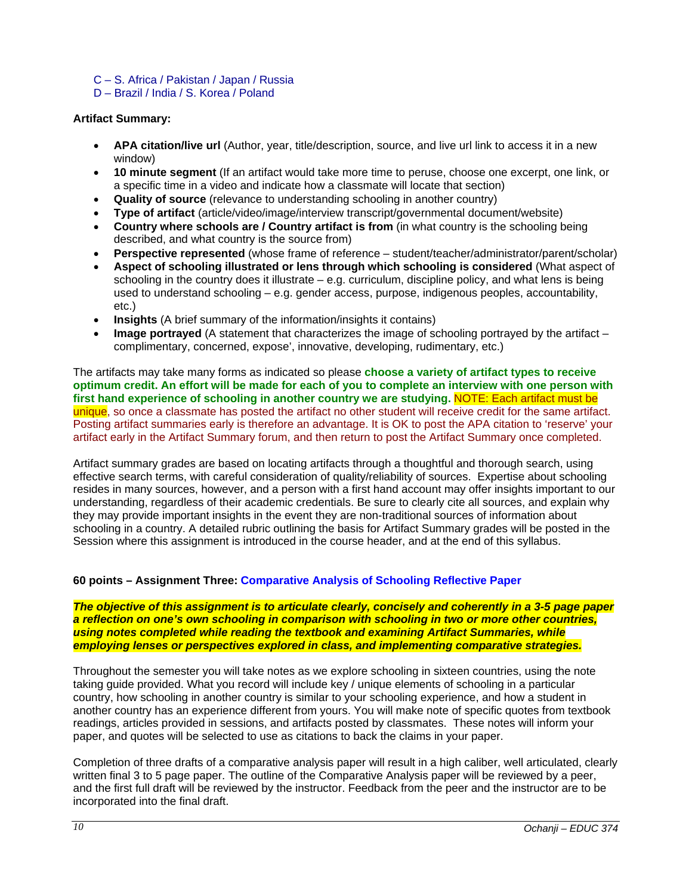C – S. Africa / Pakistan / Japan / Russia

D – Brazil / India / S. Korea / Poland

## **Artifact Summary:**

- **APA citation/live url** (Author, year, title/description, source, and live url link to access it in a new window)
- **10 minute segment** (If an artifact would take more time to peruse, choose one excerpt, one link, or a specific time in a video and indicate how a classmate will locate that section)
- **Quality of source** (relevance to understanding schooling in another country)
- **Type of artifact** (article/video/image/interview transcript/governmental document/website)
- **Country where schools are / Country artifact is from** (in what country is the schooling being described, and what country is the source from)
- **Perspective represented** (whose frame of reference student/teacher/administrator/parent/scholar)
- **Aspect of schooling illustrated or lens through which schooling is considered** (What aspect of schooling in the country does it illustrate – e.g. curriculum, discipline policy, and what lens is being used to understand schooling – e.g. gender access, purpose, indigenous peoples, accountability, etc.)
- **Insights** (A brief summary of the information/insights it contains)
- **Image portrayed** (A statement that characterizes the image of schooling portrayed by the artifact complimentary, concerned, expose', innovative, developing, rudimentary, etc.)

The artifacts may take many forms as indicated so please **choose a variety of artifact types to receive optimum credit. An effort will be made for each of you to complete an interview with one person with first hand experience of schooling in another country we are studying.** NOTE: Each artifact must be unique, so once a classmate has posted the artifact no other student will receive credit for the same artifact. Posting artifact summaries early is therefore an advantage. It is OK to post the APA citation to 'reserve' your artifact early in the Artifact Summary forum, and then return to post the Artifact Summary once completed.

Artifact summary grades are based on locating artifacts through a thoughtful and thorough search, using effective search terms, with careful consideration of quality/reliability of sources. Expertise about schooling resides in many sources, however, and a person with a first hand account may offer insights important to our understanding, regardless of their academic credentials. Be sure to clearly cite all sources, and explain why they may provide important insights in the event they are non-traditional sources of information about schooling in a country. A detailed rubric outlining the basis for Artifact Summary grades will be posted in the Session where this assignment is introduced in the course header, and at the end of this syllabus.

# **60 points – Assignment Three: Comparative Analysis of Schooling Reflective Paper**

*The objective of this assignment is to articulate clearly, concisely and coherently in a 3-5 page paper a reflection on one's own schooling in comparison with schooling in two or more other countries, using notes completed while reading the textbook and examining Artifact Summaries, while employing lenses or perspectives explored in class, and implementing comparative strategies.* 

Throughout the semester you will take notes as we explore schooling in sixteen countries, using the note taking guide provided. What you record will include key / unique elements of schooling in a particular country, how schooling in another country is similar to your schooling experience, and how a student in another country has an experience different from yours. You will make note of specific quotes from textbook readings, articles provided in sessions, and artifacts posted by classmates. These notes will inform your paper, and quotes will be selected to use as citations to back the claims in your paper.

Completion of three drafts of a comparative analysis paper will result in a high caliber, well articulated, clearly written final 3 to 5 page paper. The outline of the Comparative Analysis paper will be reviewed by a peer, and the first full draft will be reviewed by the instructor. Feedback from the peer and the instructor are to be incorporated into the final draft.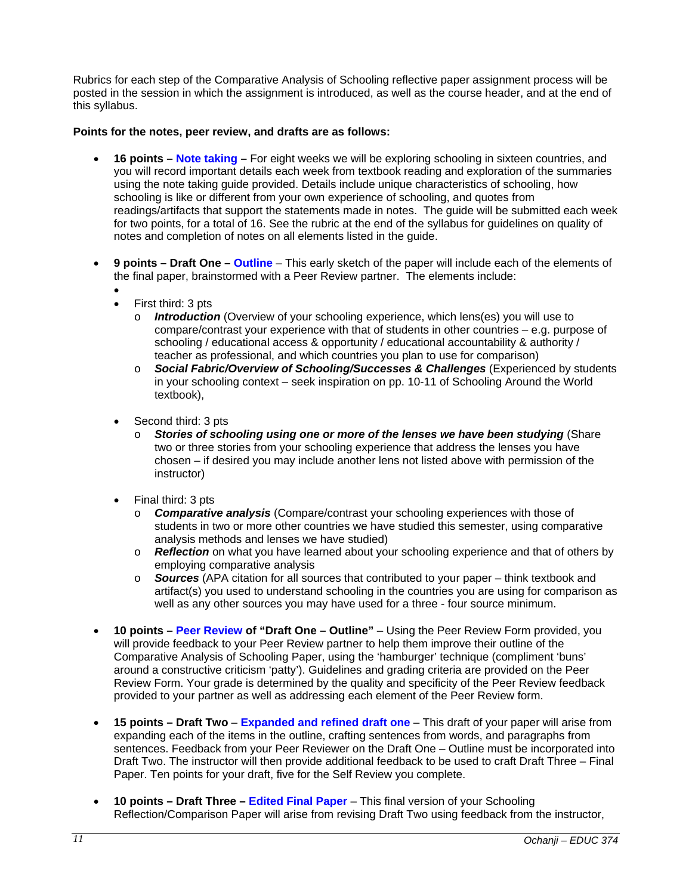Rubrics for each step of the Comparative Analysis of Schooling reflective paper assignment process will be posted in the session in which the assignment is introduced, as well as the course header, and at the end of this syllabus.

## **Points for the notes, peer review, and drafts are as follows:**

- **16 points Note taking** For eight weeks we will be exploring schooling in sixteen countries, and you will record important details each week from textbook reading and exploration of the summaries using the note taking guide provided. Details include unique characteristics of schooling, how schooling is like or different from your own experience of schooling, and quotes from readings/artifacts that support the statements made in notes. The guide will be submitted each week for two points, for a total of 16. See the rubric at the end of the syllabus for guidelines on quality of notes and completion of notes on all elements listed in the guide.
- **9 points – Draft One – Outline** This early sketch of the paper will include each of the elements of the final paper, brainstormed with a Peer Review partner. The elements include:
	- $\bullet$  First third: 3 pts
		- o *Introduction* (Overview of your schooling experience, which lens(es) you will use to compare/contrast your experience with that of students in other countries – e.g. purpose of schooling / educational access & opportunity / educational accountability & authority / teacher as professional, and which countries you plan to use for comparison)
		- o *Social Fabric/Overview of Schooling/Successes & Challenges* (Experienced by students in your schooling context – seek inspiration on pp. 10-11 of Schooling Around the World textbook),
	- Second third: 3 pts
		- o *Stories of schooling using one or more of the lenses we have been studying* (Share two or three stories from your schooling experience that address the lenses you have chosen – if desired you may include another lens not listed above with permission of the instructor)
	- Final third: 3 pts
		- o *Comparative analysis* (Compare/contrast your schooling experiences with those of students in two or more other countries we have studied this semester, using comparative analysis methods and lenses we have studied)
		- o *Reflection* on what you have learned about your schooling experience and that of others by employing comparative analysis
		- o *Sources* (APA citation for all sources that contributed to your paper think textbook and artifact(s) you used to understand schooling in the countries you are using for comparison as well as any other sources you may have used for a three - four source minimum.
- **10 points Peer Review of "Draft One Outline"** Using the Peer Review Form provided, you will provide feedback to your Peer Review partner to help them improve their outline of the Comparative Analysis of Schooling Paper, using the 'hamburger' technique (compliment 'buns' around a constructive criticism 'patty'). Guidelines and grading criteria are provided on the Peer Review Form. Your grade is determined by the quality and specificity of the Peer Review feedback provided to your partner as well as addressing each element of the Peer Review form.
- **15 points – Draft Two Expanded and refined draft one** This draft of your paper will arise from expanding each of the items in the outline, crafting sentences from words, and paragraphs from sentences. Feedback from your Peer Reviewer on the Draft One – Outline must be incorporated into Draft Two. The instructor will then provide additional feedback to be used to craft Draft Three – Final Paper. Ten points for your draft, five for the Self Review you complete.
- **10 points – Draft Three – Edited Final Paper** This final version of your Schooling Reflection/Comparison Paper will arise from revising Draft Two using feedback from the instructor,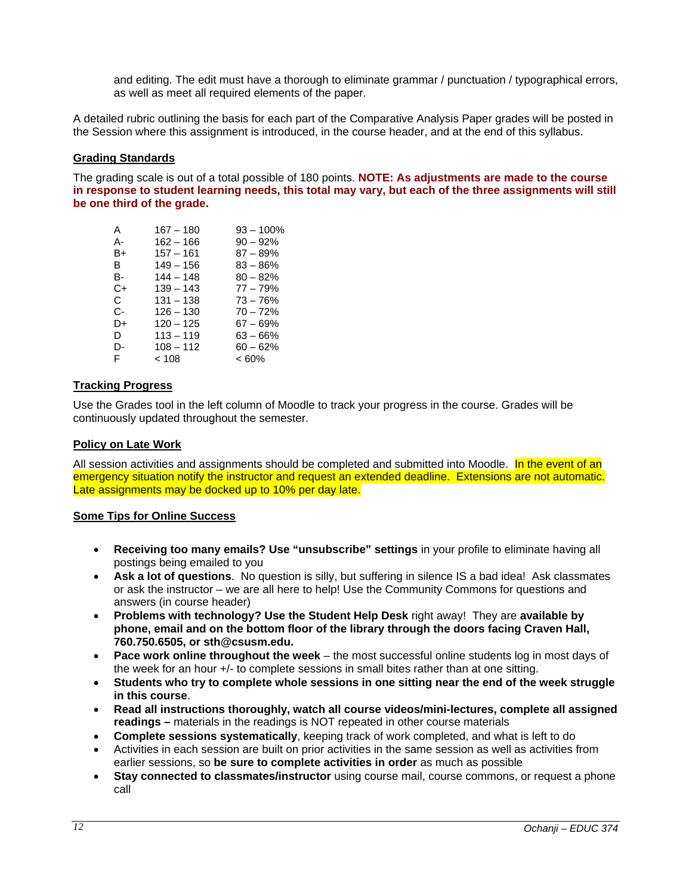and editing. The edit must have a thorough to eliminate grammar / punctuation / typographical errors, as well as meet all required elements of the paper.

A detailed rubric outlining the basis for each part of the Comparative Analysis Paper grades will be posted in the Session where this assignment is introduced, in the course header, and at the end of this syllabus.

### **Grading Standards**

The grading scale is out of a total possible of 180 points. **NOTE: As adjustments are made to the course in response to student learning needs, this total may vary, but each of the three assignments will still be one third of the grade.** 

| A  | $167 - 180$ | $93 - 100\%$ |
|----|-------------|--------------|
| А- | $162 - 166$ | $90 - 92%$   |
| B+ | $157 - 161$ | $87 - 89%$   |
| в  | $149 - 156$ | $83 - 86%$   |
| B- | $144 - 148$ | $80 - 82%$   |
| C+ | 139 – 143   | 77 – 79%     |
| C. | $131 - 138$ | $73 - 76%$   |
| C- | $126 - 130$ | $70 - 72%$   |
| D+ | $120 - 125$ | $67 - 69%$   |
| D. | $113 - 119$ | $63 - 66%$   |
| D- | $108 - 112$ | $60 - 62%$   |
| F  | < 108       | $<60\%$      |
|    |             |              |

### **Tracking Progress**

Use the Grades tool in the left column of Moodle to track your progress in the course. Grades will be continuously updated throughout the semester.

### **Policy on Late Work**

All session activities and assignments should be completed and submitted into Moodle. In the event of an emergency situation notify the instructor and request an extended deadline. Extensions are not automatic. Late assignments may be docked up to 10% per day late.

#### **Some Tips for Online Success**

- **Receiving too many emails? Use "unsubscribe" settings** in your profile to eliminate having all postings being emailed to you
- **Ask a lot of questions**. No question is silly, but suffering in silence IS a bad idea! Ask classmates or ask the instructor – we are all here to help! Use the Community Commons for questions and answers (in course header)
- **Problems with technology? Use the Student Help Desk** right away! They are **available by phone, email and on the bottom floor of the library through the doors facing Craven Hall, 760.750.6505, or sth@csusm.edu.**
- **Pace work online throughout the week** the most successful online students log in most days of the week for an hour +/- to complete sessions in small bites rather than at one sitting.
- **Students who try to complete whole sessions in one sitting near the end of the week struggle in this course**.
- **Read all instructions thoroughly, watch all course videos/mini-lectures, complete all assigned readings –** materials in the readings is NOT repeated in other course materials
- **Complete sessions systematically**, keeping track of work completed, and what is left to do
- Activities in each session are built on prior activities in the same session as well as activities from earlier sessions, so **be sure to complete activities in order** as much as possible
- **Stay connected to classmates/instructor** using course mail, course commons, or request a phone call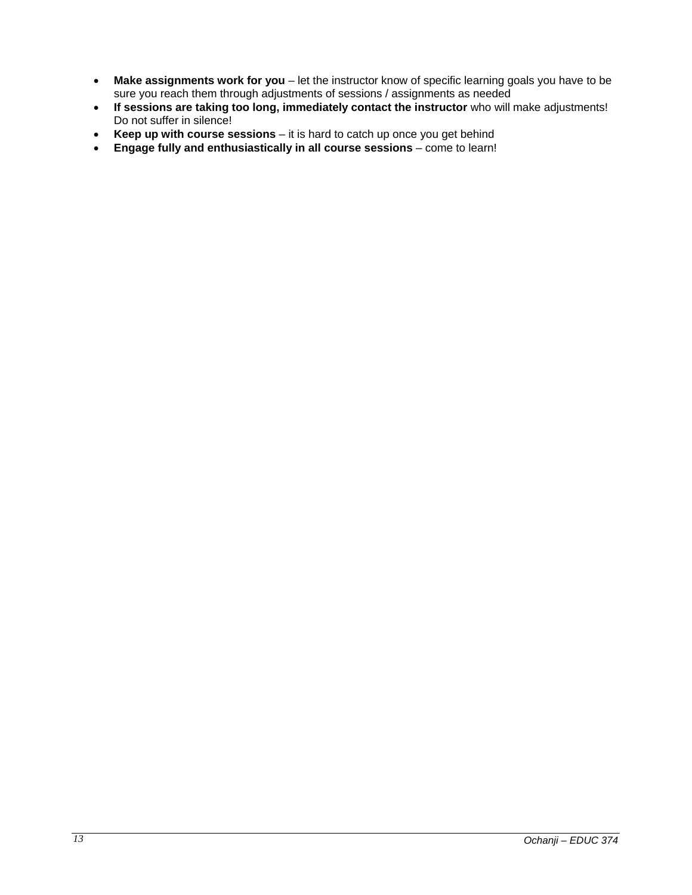- **Make assignments work for you** let the instructor know of specific learning goals you have to be sure you reach them through adjustments of sessions / assignments as needed
- **If sessions are taking too long, immediately contact the instructor** who will make adjustments! Do not suffer in silence!
- **Keep up with course sessions** it is hard to catch up once you get behind
- **Engage fully and enthusiastically in all course sessions** come to learn!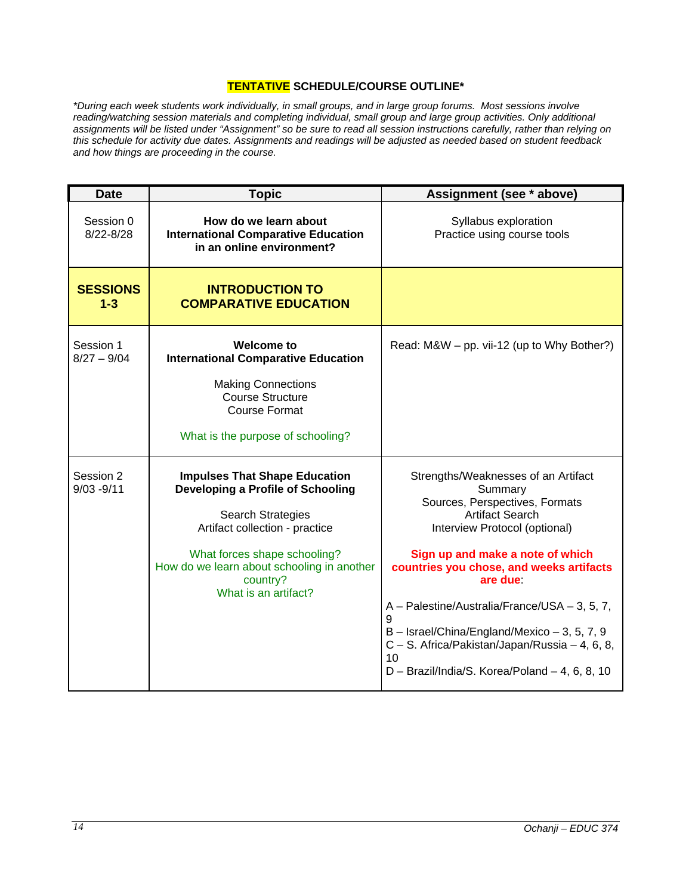# **TENTATIVE SCHEDULE/COURSE OUTLINE\***

*\*During each week students work individually, in small groups, and in large group forums. Most sessions involve*  reading/watching session materials and completing individual, small group and large group activities. Only additional *assignments will be listed under "Assignment" so be sure to read all session instructions carefully, rather than relying on this schedule for activity due dates. Assignments and readings will be adjusted as needed based on student feedback and how things are proceeding in the course.* 

| <b>Date</b>                | <b>Topic</b>                                                                                                                                                                                                                                              | Assignment (see * above)                                                                                                                                                                                                                                                                                                                                                                                                                                   |
|----------------------------|-----------------------------------------------------------------------------------------------------------------------------------------------------------------------------------------------------------------------------------------------------------|------------------------------------------------------------------------------------------------------------------------------------------------------------------------------------------------------------------------------------------------------------------------------------------------------------------------------------------------------------------------------------------------------------------------------------------------------------|
| Session 0<br>$8/22 - 8/28$ | How do we learn about<br><b>International Comparative Education</b><br>in an online environment?                                                                                                                                                          | Syllabus exploration<br>Practice using course tools                                                                                                                                                                                                                                                                                                                                                                                                        |
| <b>SESSIONS</b><br>$1 - 3$ | <b>INTRODUCTION TO</b><br><b>COMPARATIVE EDUCATION</b>                                                                                                                                                                                                    |                                                                                                                                                                                                                                                                                                                                                                                                                                                            |
| Session 1<br>$8/27 - 9/04$ | <b>Welcome to</b><br><b>International Comparative Education</b><br><b>Making Connections</b><br><b>Course Structure</b><br><b>Course Format</b><br>What is the purpose of schooling?                                                                      | Read: M&W – pp. vii-12 (up to Why Bother?)                                                                                                                                                                                                                                                                                                                                                                                                                 |
| Session 2<br>$9/03 - 9/11$ | <b>Impulses That Shape Education</b><br>Developing a Profile of Schooling<br><b>Search Strategies</b><br>Artifact collection - practice<br>What forces shape schooling?<br>How do we learn about schooling in another<br>country?<br>What is an artifact? | Strengths/Weaknesses of an Artifact<br>Summary<br>Sources, Perspectives, Formats<br><b>Artifact Search</b><br>Interview Protocol (optional)<br>Sign up and make a note of which<br>countries you chose, and weeks artifacts<br>are due<br>A - Palestine/Australia/France/USA - 3, 5, 7,<br>9<br>$B -$ Israel/China/England/Mexico $-3$ , 5, 7, 9<br>C - S. Africa/Pakistan/Japan/Russia - 4, 6, 8,<br>10<br>D - Brazil/India/S. Korea/Poland - 4, 6, 8, 10 |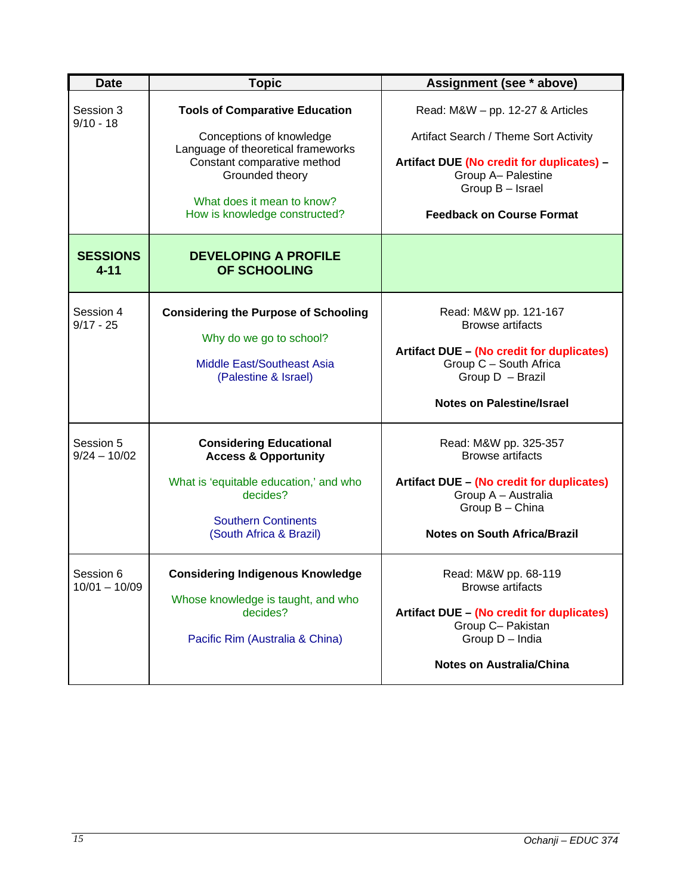| <b>Date</b>                  | <b>Topic</b>                                                                                                                                                                                                             | Assignment (see * above)                                                                                                                                                                               |
|------------------------------|--------------------------------------------------------------------------------------------------------------------------------------------------------------------------------------------------------------------------|--------------------------------------------------------------------------------------------------------------------------------------------------------------------------------------------------------|
| Session 3<br>$9/10 - 18$     | <b>Tools of Comparative Education</b><br>Conceptions of knowledge<br>Language of theoretical frameworks<br>Constant comparative method<br>Grounded theory<br>What does it mean to know?<br>How is knowledge constructed? | Read: $M&W - pp.$ 12-27 & Articles<br>Artifact Search / Theme Sort Activity<br>Artifact DUE (No credit for duplicates) -<br>Group A- Palestine<br>Group B - Israel<br><b>Feedback on Course Format</b> |
| <b>SESSIONS</b><br>$4 - 11$  | <b>DEVELOPING A PROFILE</b><br>OF SCHOOLING                                                                                                                                                                              |                                                                                                                                                                                                        |
| Session 4<br>$9/17 - 25$     | <b>Considering the Purpose of Schooling</b><br>Why do we go to school?<br>Middle East/Southeast Asia<br>(Palestine & Israel)                                                                                             | Read: M&W pp. 121-167<br><b>Browse artifacts</b><br>Artifact DUE - (No credit for duplicates)<br>Group C - South Africa<br>Group D - Brazil<br><b>Notes on Palestine/Israel</b>                        |
| Session 5<br>$9/24 - 10/02$  | <b>Considering Educational</b><br><b>Access &amp; Opportunity</b><br>What is 'equitable education,' and who<br>decides?<br><b>Southern Continents</b><br>(South Africa & Brazil)                                         | Read: M&W pp. 325-357<br><b>Browse artifacts</b><br>Artifact DUE - (No credit for duplicates)<br>Group A - Australia<br>Group B - China<br><b>Notes on South Africa/Brazil</b>                         |
| Session 6<br>$10/01 - 10/09$ | <b>Considering Indigenous Knowledge</b><br>Whose knowledge is taught, and who<br>decides?<br>Pacific Rim (Australia & China)                                                                                             | Read: M&W pp. 68-119<br><b>Browse artifacts</b><br>Artifact DUE - (No credit for duplicates)<br>Group C- Pakistan<br>Group D - India<br><b>Notes on Australia/China</b>                                |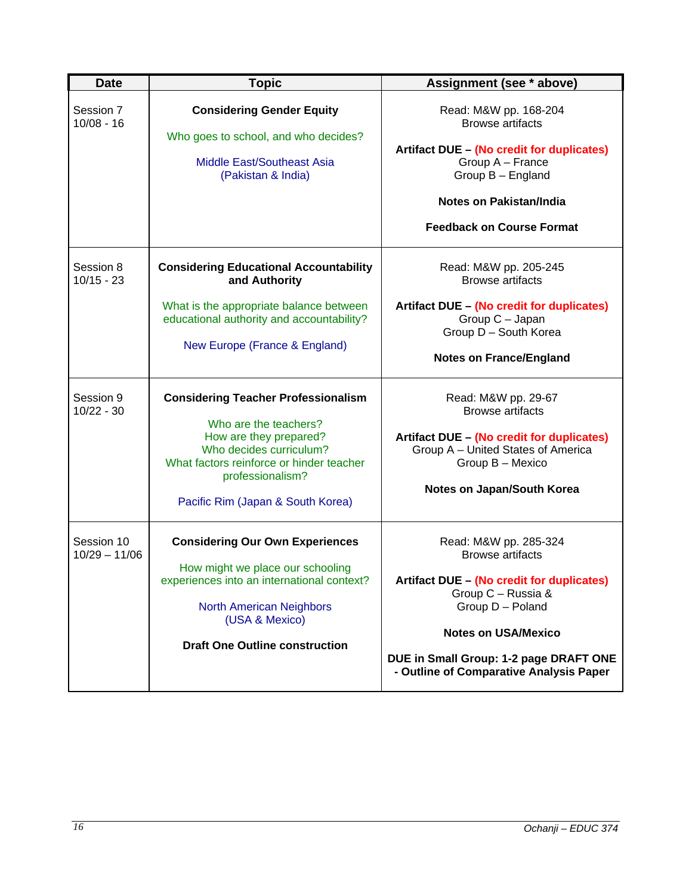| <b>Date</b>                   | <b>Topic</b>                                                                                                                                                                                                                  | Assignment (see * above)                                                                                                                                                                                                                                          |
|-------------------------------|-------------------------------------------------------------------------------------------------------------------------------------------------------------------------------------------------------------------------------|-------------------------------------------------------------------------------------------------------------------------------------------------------------------------------------------------------------------------------------------------------------------|
| Session 7<br>$10/08 - 16$     | <b>Considering Gender Equity</b><br>Who goes to school, and who decides?<br><b>Middle East/Southeast Asia</b><br>(Pakistan & India)                                                                                           | Read: M&W pp. 168-204<br><b>Browse artifacts</b><br>Artifact DUE - (No credit for duplicates)<br>Group A - France<br>Group B - England<br><b>Notes on Pakistan/India</b><br><b>Feedback on Course Format</b>                                                      |
| Session 8<br>$10/15 - 23$     | <b>Considering Educational Accountability</b><br>and Authority<br>What is the appropriate balance between<br>educational authority and accountability?<br>New Europe (France & England)                                       | Read: M&W pp. 205-245<br><b>Browse artifacts</b><br>Artifact DUE - (No credit for duplicates)<br>Group C - Japan<br>Group D - South Korea<br><b>Notes on France/England</b>                                                                                       |
| Session 9<br>$10/22 - 30$     | <b>Considering Teacher Professionalism</b><br>Who are the teachers?<br>How are they prepared?<br>Who decides curriculum?<br>What factors reinforce or hinder teacher<br>professionalism?<br>Pacific Rim (Japan & South Korea) | Read: M&W pp. 29-67<br><b>Browse artifacts</b><br><b>Artifact DUE - (No credit for duplicates)</b><br>Group A - United States of America<br>Group B - Mexico<br>Notes on Japan/South Korea                                                                        |
| Session 10<br>$10/29 - 11/06$ | <b>Considering Our Own Experiences</b><br>How might we place our schooling<br>experiences into an international context?<br><b>North American Neighbors</b><br>(USA & Mexico)<br><b>Draft One Outline construction</b>        | Read: M&W pp. 285-324<br><b>Browse artifacts</b><br><b>Artifact DUE - (No credit for duplicates)</b><br>Group C - Russia &<br>Group D - Poland<br><b>Notes on USA/Mexico</b><br>DUE in Small Group: 1-2 page DRAFT ONE<br>- Outline of Comparative Analysis Paper |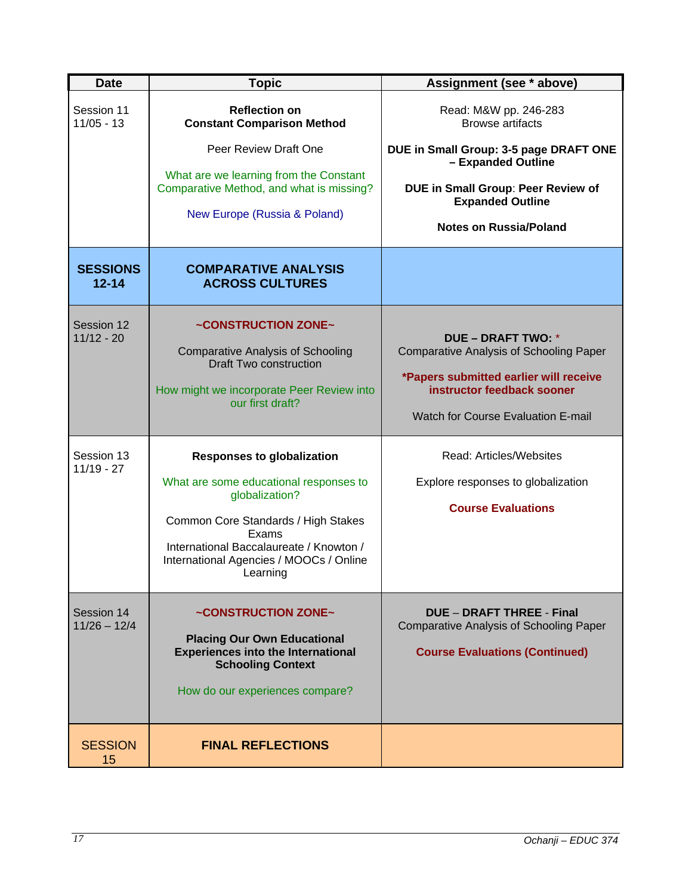| <b>Date</b>                  | <b>Topic</b>                                                                                                                                                                                                                                    | Assignment (see * above)                                                                                                                                                                         |
|------------------------------|-------------------------------------------------------------------------------------------------------------------------------------------------------------------------------------------------------------------------------------------------|--------------------------------------------------------------------------------------------------------------------------------------------------------------------------------------------------|
| Session 11<br>$11/05 - 13$   | <b>Reflection on</b><br><b>Constant Comparison Method</b>                                                                                                                                                                                       | Read: M&W pp. 246-283<br><b>Browse artifacts</b>                                                                                                                                                 |
|                              | Peer Review Draft One<br>What are we learning from the Constant<br>Comparative Method, and what is missing?<br>New Europe (Russia & Poland)                                                                                                     | DUE in Small Group: 3-5 page DRAFT ONE<br>- Expanded Outline<br>DUE in Small Group: Peer Review of<br><b>Expanded Outline</b><br><b>Notes on Russia/Poland</b>                                   |
| <b>SESSIONS</b><br>$12 - 14$ | <b>COMPARATIVE ANALYSIS</b><br><b>ACROSS CULTURES</b>                                                                                                                                                                                           |                                                                                                                                                                                                  |
| Session 12<br>$11/12 - 20$   | ~CONSTRUCTION ZONE~<br><b>Comparative Analysis of Schooling</b><br><b>Draft Two construction</b><br>How might we incorporate Peer Review into<br>our first draft?                                                                               | <b>DUE - DRAFT TWO: *</b><br><b>Comparative Analysis of Schooling Paper</b><br>*Papers submitted earlier will receive<br>instructor feedback sooner<br><b>Watch for Course Evaluation E-mail</b> |
| Session 13<br>$11/19 - 27$   | <b>Responses to globalization</b><br>What are some educational responses to<br>globalization?<br>Common Core Standards / High Stakes<br>Exams<br>International Baccalaureate / Knowton /<br>International Agencies / MOOCs / Online<br>Learning | Read: Articles/Websites<br>Explore responses to globalization<br><b>Course Evaluations</b>                                                                                                       |
| Session 14<br>$11/26 - 12/4$ | ~CONSTRUCTION ZONE~<br><b>Placing Our Own Educational</b><br><b>Experiences into the International</b><br><b>Schooling Context</b><br>How do our experiences compare?                                                                           | <b>DUE - DRAFT THREE - Final</b><br><b>Comparative Analysis of Schooling Paper</b><br><b>Course Evaluations (Continued)</b>                                                                      |
| <b>SESSION</b><br>15         | <b>FINAL REFLECTIONS</b>                                                                                                                                                                                                                        |                                                                                                                                                                                                  |